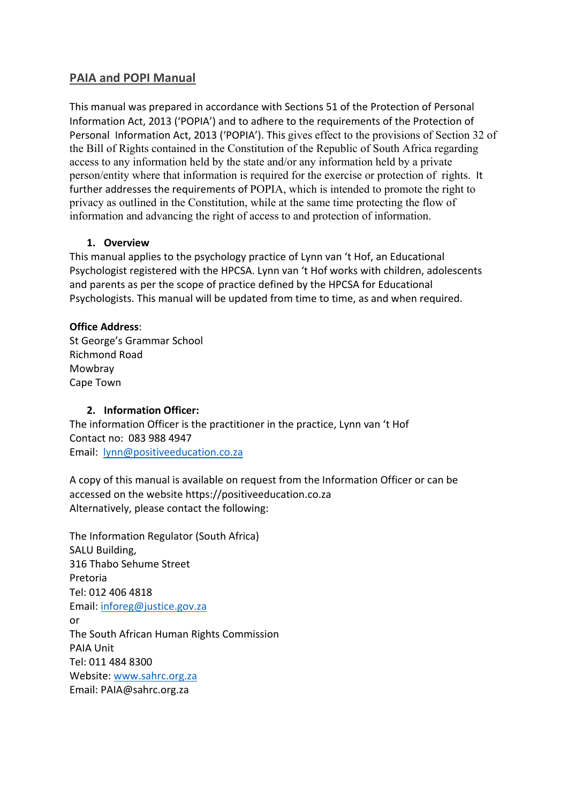# **PAIA and POPI Manual**

This manual was prepared in accordance with Sections 51 of the Protection of Personal Information Act, 2013 ('POPIA') and to adhere to the requirements of the Protection of Personal Information Act, 2013 ('POPIA'). This gives effect to the provisions of Section 32 of the Bill of Rights contained in the Constitution of the Republic of South Africa regarding access to any information held by the state and/or any information held by a private person/entity where that information is required for the exercise or protection of rights. It further addresses the requirements of POPIA, which is intended to promote the right to privacy as outlined in the Constitution, while at the same time protecting the flow of information and advancing the right of access to and protection of information.

#### **1. Overview**

This manual applies to the psychology practice of Lynn van 't Hof, an Educational Psychologist registered with the HPCSA. Lynn van 't Hof works with children, adolescents and parents as per the scope of practice defined by the HPCSA for Educational Psychologists. This manual will be updated from time to time, as and when required.

#### **Office Address**:

St George's Grammar School Richmond Road Mowbray Cape Town

### **2. Information Officer:**

The information Officer is the practitioner in the practice, Lynn van 't Hof Contact no: 083 988 4947 Email: lynn@positiveeducation.co.za

A copy of this manual is available on request from the Information Officer or can be accessed on the website https://positiveeducation.co.za Alternatively, please contact the following:

The Information Regulator (South Africa) SALU Building, 316 Thabo Sehume Street Pretoria Tel: 012 406 4818 Email: inforeg@justice.gov.za or The South African Human Rights Commission PAIA Unit Tel: 011 484 8300 Website: www.sahrc.org.za Email: PAIA@sahrc.org.za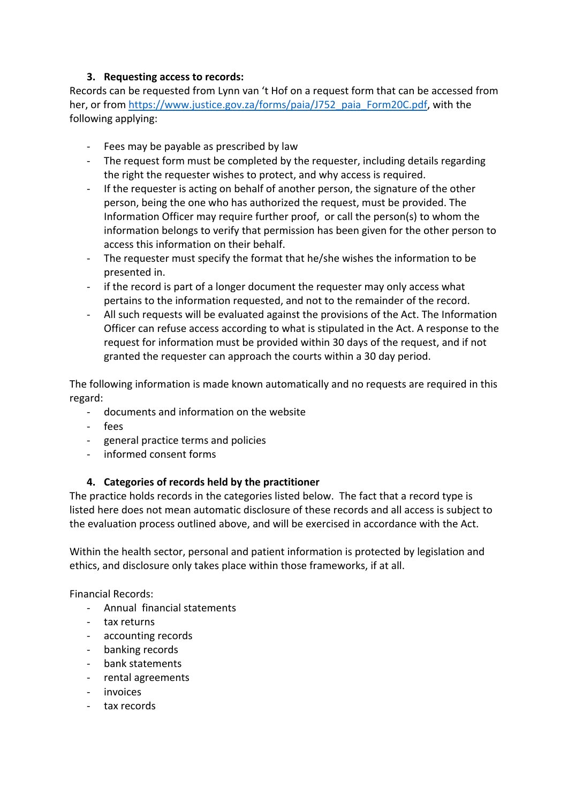## **3. Requesting access to records:**

Records can be requested from Lynn van 't Hof on a request form that can be accessed from her, or from https://www.justice.gov.za/forms/paia/J752\_paia\_Form20C.pdf, with the following applying:

- Fees may be payable as prescribed by law
- The request form must be completed by the requester, including details regarding the right the requester wishes to protect, and why access is required.
- If the requester is acting on behalf of another person, the signature of the other person, being the one who has authorized the request, must be provided. The Information Officer may require further proof, or call the person(s) to whom the information belongs to verify that permission has been given for the other person to access this information on their behalf.
- The requester must specify the format that he/she wishes the information to be presented in.
- if the record is part of a longer document the requester may only access what pertains to the information requested, and not to the remainder of the record.
- All such requests will be evaluated against the provisions of the Act. The Information Officer can refuse access according to what is stipulated in the Act. A response to the request for information must be provided within 30 days of the request, and if not granted the requester can approach the courts within a 30 day period.

The following information is made known automatically and no requests are required in this regard:

- documents and information on the website
- fees
- general practice terms and policies
- informed consent forms

### **4. Categories of records held by the practitioner**

The practice holds records in the categories listed below. The fact that a record type is listed here does not mean automatic disclosure of these records and all access is subject to the evaluation process outlined above, and will be exercised in accordance with the Act.

Within the health sector, personal and patient information is protected by legislation and ethics, and disclosure only takes place within those frameworks, if at all.

Financial Records:

- Annual financial statements
- tax returns
- accounting records
- banking records
- bank statements
- rental agreements
- invoices
- tax records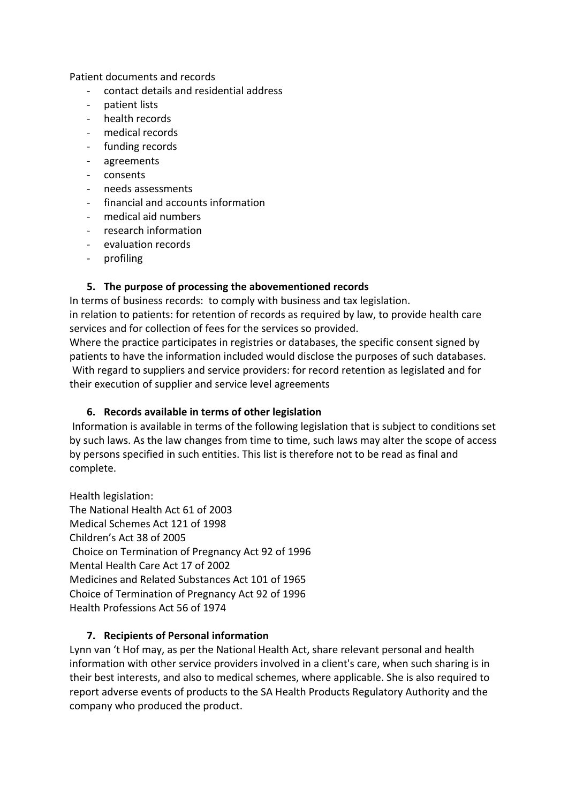Patient documents and records

- contact details and residential address
- patient lists
- health records
- medical records
- funding records
- agreements
- consents
- needs assessments
- financial and accounts information
- medical aid numbers
- research information
- evaluation records
- profiling

### **5. The purpose of processing the abovementioned records**

In terms of business records: to comply with business and tax legislation.

in relation to patients: for retention of records as required by law, to provide health care services and for collection of fees for the services so provided.

Where the practice participates in registries or databases, the specific consent signed by patients to have the information included would disclose the purposes of such databases. With regard to suppliers and service providers: for record retention as legislated and for their execution of supplier and service level agreements

### **6. Records available in terms of other legislation**

Information is available in terms of the following legislation that is subject to conditions set by such laws. As the law changes from time to time, such laws may alter the scope of access by persons specified in such entities. This list is therefore not to be read as final and complete.

Health legislation: The National Health Act 61 of 2003 Medical Schemes Act 121 of 1998 Children's Act 38 of 2005 Choice on Termination of Pregnancy Act 92 of 1996 Mental Health Care Act 17 of 2002 Medicines and Related Substances Act 101 of 1965 Choice of Termination of Pregnancy Act 92 of 1996 Health Professions Act 56 of 1974

### **7. Recipients of Personal information**

Lynn van 't Hof may, as per the National Health Act, share relevant personal and health information with other service providers involved in a client's care, when such sharing is in their best interests, and also to medical schemes, where applicable. She is also required to report adverse events of products to the SA Health Products Regulatory Authority and the company who produced the product.